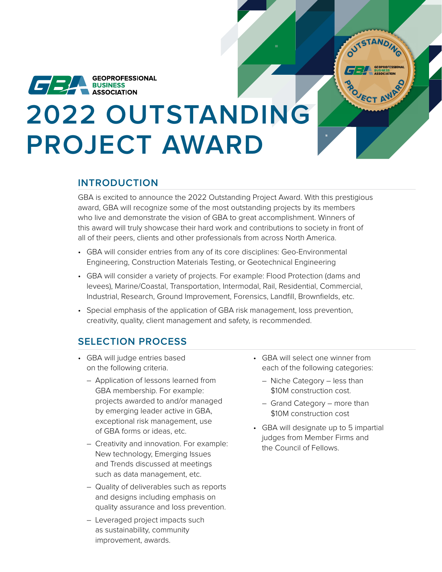

# **2022 OUTSTANDING PROJECT AWARD**

## **INTRODUCTION**

GBA is excited to announce the 2022 Outstanding Project Award. With this prestigious award, GBA will recognize some of the most outstanding projects by its members who live and demonstrate the vision of GBA to great accomplishment. Winners of this award will truly showcase their hard work and contributions to society in front of all of their peers, clients and other professionals from across North America.

- GBA will consider entries from any of its core disciplines: Geo-Environmental Engineering, Construction Materials Testing, or Geotechnical Engineering
- GBA will consider a variety of projects. For example: Flood Protection (dams and levees), Marine/Coastal, Transportation, Intermodal, Rail, Residential, Commercial, Industrial, Research, Ground Improvement, Forensics, Landfill, Brownfields, etc.
- Special emphasis of the application of GBA risk management, loss prevention, creativity, quality, client management and safety, is recommended.

## **SELECTION PROCESS**

- GBA will judge entries based on the following criteria.
	- Application of lessons learned from GBA membership. For example: projects awarded to and/or managed by emerging leader active in GBA, exceptional risk management, use of GBA forms or ideas, etc.
	- Creativity and innovation. For example: New technology, Emerging Issues and Trends discussed at meetings such as data management, etc.
	- Quality of deliverables such as reports and designs including emphasis on quality assurance and loss prevention.
	- Leveraged project impacts such as sustainability, community improvement, awards.

• GBA will select one winner from each of the following categories:

OUTSTANDING

PO<sub>JECT AWARD</sub>

- Niche Category less than \$10M construction cost.
- Grand Category more than \$10M construction cost
- GBA will designate up to 5 impartial judges from Member Firms and the Council of Fellows.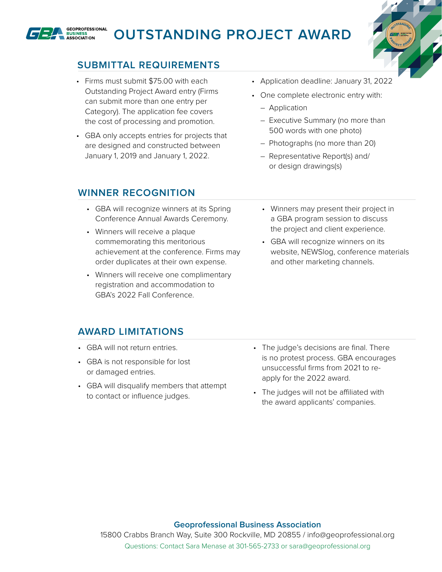

# **OUTSTANDING PROJECT AWARD**



# **SUBMITTAL REQUIREMENTS**

- Firms must submit \$75.00 with each Outstanding Project Award entry (Firms can submit more than one entry per Category). The application fee covers the cost of processing and promotion.
- GBA only accepts entries for projects that are designed and constructed between January 1, 2019 and January 1, 2022.
- Application deadline: January 31, 2022
- One complete electronic entry with:
	- Application
	- Executive Summary (no more than 500 words with one photo)
	- Photographs (no more than 20)
	- Representative Report(s) and/ or design drawings(s)

### **WINNER RECOGNITION**

- GBA will recognize winners at its Spring Conference Annual Awards Ceremony.
- Winners will receive a plaque commemorating this meritorious achievement at the conference. Firms may order duplicates at their own expense.
- Winners will receive one complimentary registration and accommodation to GBA's 2022 Fall Conference.
- Winners may present their project in a GBA program session to discuss the project and client experience.
- GBA will recognize winners on its website, NEWSlog, conference materials and other marketing channels.

## **AWARD LIMITATIONS**

- GBA will not return entries.
- GBA is not responsible for lost or damaged entries.
- GBA will disqualify members that attempt to contact or influence judges.
- The judge's decisions are final. There is no protest process. GBA encourages unsuccessful firms from 2021 to reapply for the 2022 award.
- The judges will not be affiliated with the award applicants' companies.

#### **Geoprofessional Business Association**

15800 Crabbs Branch Way, Suite 300 Rockville, MD 20855 / info@geoprofessional.org Questions: Contact Sara Menase at 301-565-2733 or sara@geoprofessional.org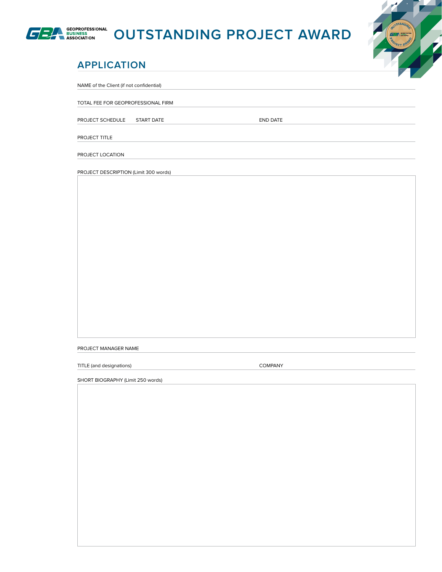

# **OUTSTANDING PROJECT AWARD**



# **APPLICATION**

NAME of the Client (if not confidential)

TOTAL FEE FOR GEOPROFESSIONAL FIRM

PROJECT SCHEDULE START DATE START ON THE START OF START ON THE START OF START OF START OF START OF START OF ST

PROJECT TITLE

PROJECT LOCATION

PROJECT DESCRIPTION (Limit 300 words)

PROJECT MANAGER NAME

TITLE (and designations) and the company company

SHORT BIOGRAPHY (Limit 250 words)